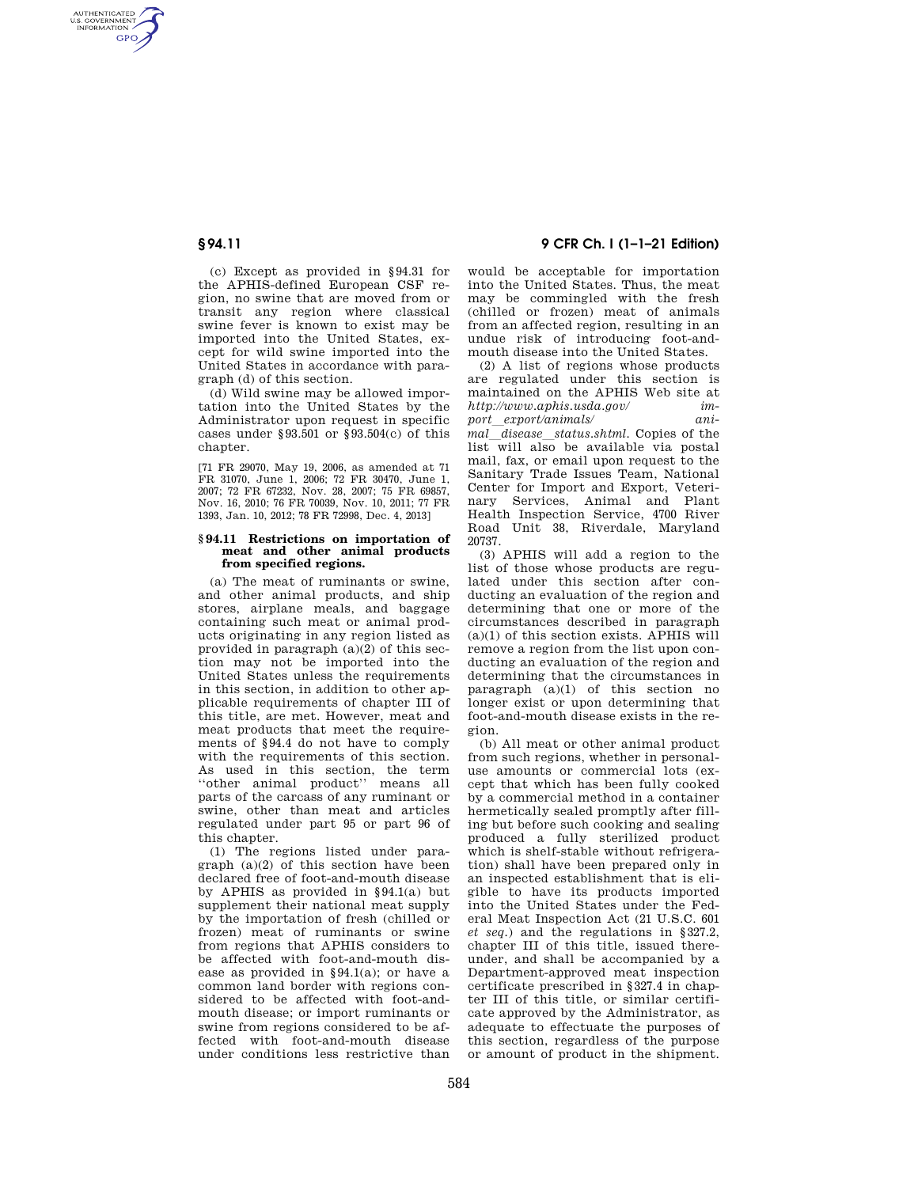AUTHENTICATED<br>U.S. GOVERNMENT<br>INFORMATION **GPO** 

> (c) Except as provided in §94.31 for the APHIS-defined European CSF region, no swine that are moved from or transit any region where classical swine fever is known to exist may be imported into the United States, except for wild swine imported into the United States in accordance with paragraph (d) of this section.

> (d) Wild swine may be allowed importation into the United States by the Administrator upon request in specific cases under §93.501 or §93.504(c) of this chapter.

> [71 FR 29070, May 19, 2006, as amended at 71 FR 31070, June 1, 2006; 72 FR 30470, June 1, 2007; 72 FR 67232, Nov. 28, 2007; 75 FR 69857, Nov. 16, 2010; 76 FR 70039, Nov. 10, 2011; 77 FR 1393, Jan. 10, 2012; 78 FR 72998, Dec. 4, 2013]

### **§ 94.11 Restrictions on importation of meat and other animal products from specified regions.**

(a) The meat of ruminants or swine, and other animal products, and ship stores, airplane meals, and baggage containing such meat or animal products originating in any region listed as provided in paragraph  $(a)(2)$  of this section may not be imported into the United States unless the requirements in this section, in addition to other applicable requirements of chapter III of this title, are met. However, meat and meat products that meet the requirements of §94.4 do not have to comply with the requirements of this section. As used in this section, the term ''other animal product'' means all parts of the carcass of any ruminant or swine, other than meat and articles regulated under part 95 or part 96 of this chapter.

(1) The regions listed under paragraph (a)(2) of this section have been declared free of foot-and-mouth disease by APHIS as provided in §94.1(a) but supplement their national meat supply by the importation of fresh (chilled or frozen) meat of ruminants or swine from regions that APHIS considers to be affected with foot-and-mouth disease as provided in §94.1(a); or have a common land border with regions considered to be affected with foot-andmouth disease; or import ruminants or swine from regions considered to be affected with foot-and-mouth disease under conditions less restrictive than

# **§ 94.11 9 CFR Ch. I (1–1–21 Edition)**

would be acceptable for importation into the United States. Thus, the meat may be commingled with the fresh (chilled or frozen) meat of animals from an affected region, resulting in an undue risk of introducing foot-andmouth disease into the United States.

(2) A list of regions whose products are regulated under this section is maintained on the APHIS Web site at *http://www.aphis.usda.gov/ import*l*export/animals/ animal*l*disease*l*status.shtml.* Copies of the list will also be available via postal mail, fax, or email upon request to the Sanitary Trade Issues Team, National Center for Import and Export, Veterinary Services, Animal and Plant Health Inspection Service, 4700 River Road Unit 38, Riverdale, Maryland 20737.

(3) APHIS will add a region to the list of those whose products are regulated under this section after conducting an evaluation of the region and determining that one or more of the circumstances described in paragraph (a)(1) of this section exists. APHIS will remove a region from the list upon conducting an evaluation of the region and determining that the circumstances in paragraph (a)(1) of this section no longer exist or upon determining that foot-and-mouth disease exists in the region.

(b) All meat or other animal product from such regions, whether in personaluse amounts or commercial lots (except that which has been fully cooked by a commercial method in a container hermetically sealed promptly after filling but before such cooking and sealing produced a fully sterilized product which is shelf-stable without refrigeration) shall have been prepared only in an inspected establishment that is eligible to have its products imported into the United States under the Federal Meat Inspection Act (21 U.S.C. 601 *et seq.*) and the regulations in §327.2, chapter III of this title, issued thereunder, and shall be accompanied by a Department-approved meat inspection certificate prescribed in §327.4 in chapter III of this title, or similar certificate approved by the Administrator, as adequate to effectuate the purposes of this section, regardless of the purpose or amount of product in the shipment.